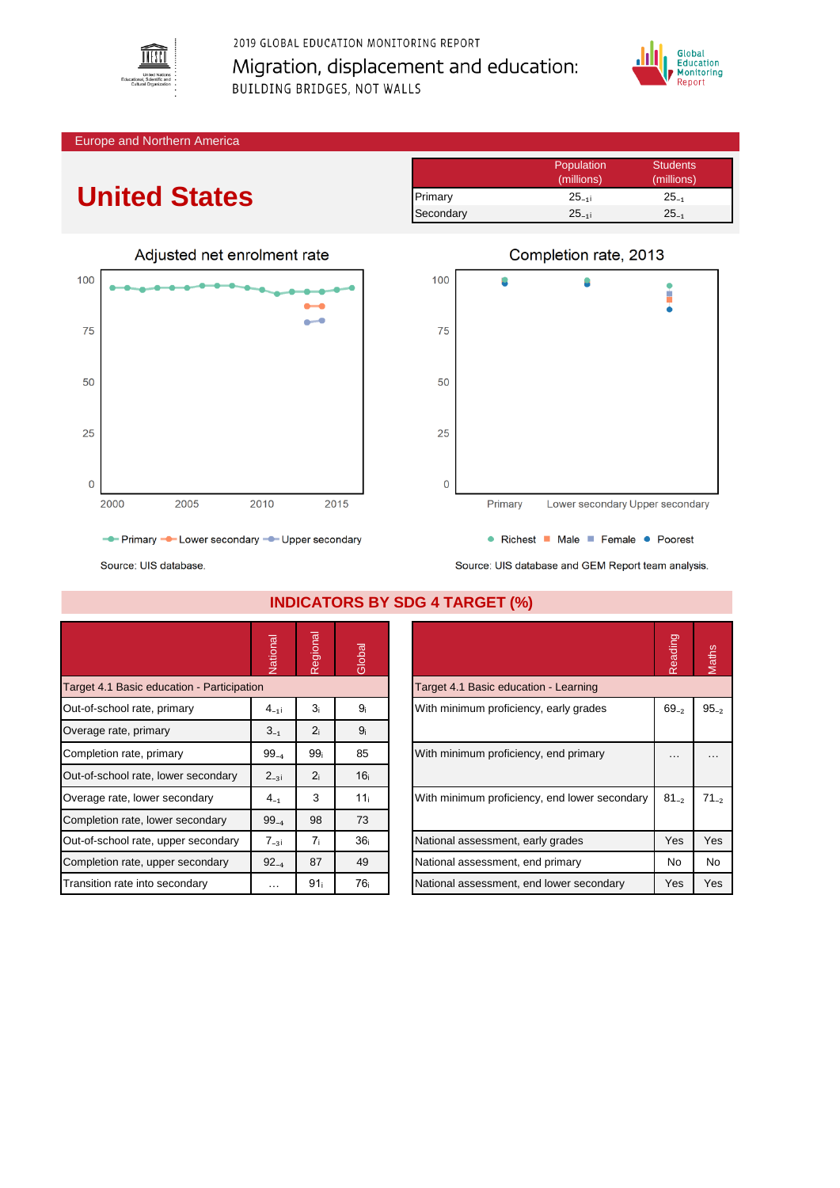

2019 GLOBAL EDUCATION MONITORING REPORT Migration, displacement and education: BUILDING BRIDGES, NOT WALLS



#### Europe and Northern America

# **United States**

|           | Population | <b>Students</b> |
|-----------|------------|-----------------|
|           | (millions) | (millions)      |
| Primary   | $25_{-11}$ | $25_{-1}$       |
| Secondary | $25_{-11}$ | $25_{-1}$       |





Source: UIS database and GEM Report team analysis.

Source: UIS database.

|                                            | Vational  | Regional        | Global          |                                               | Reading    | Maths     |
|--------------------------------------------|-----------|-----------------|-----------------|-----------------------------------------------|------------|-----------|
| Target 4.1 Basic education - Participation |           |                 |                 | Target 4.1 Basic education - Learning         |            |           |
| Out-of-school rate, primary                | $4_{-11}$ | 3 <sub>i</sub>  | 9 <sub>i</sub>  | With minimum proficiency, early grades        | $69_{-2}$  | $95 - 2$  |
| Overage rate, primary                      | $3_{-1}$  | 2 <sub>i</sub>  | 9 <sub>i</sub>  |                                               |            |           |
| Completion rate, primary                   | $99_{-4}$ | 99 <sub>i</sub> | 85              | With minimum proficiency, end primary         | .          |           |
| Out-of-school rate, lower secondary        | $2_{-3}$  | 2 <sub>i</sub>  | 16 <sub>i</sub> |                                               |            |           |
| Overage rate, lower secondary              | $4_{-1}$  | 3               | 11 <sub>i</sub> | With minimum proficiency, end lower secondary | $81_{-2}$  | $71_{-2}$ |
| Completion rate, lower secondary           | $99_{-4}$ | 98              | 73              |                                               |            |           |
| Out-of-school rate, upper secondary        | $7_{-31}$ | 7 <sub>i</sub>  | 36 <sub>i</sub> | National assessment, early grades             | Yes        | Yes       |
| Completion rate, upper secondary           | $92_{-4}$ | 87              | 49              | National assessment, end primary              | No         | <b>No</b> |
| Transition rate into secondary             | $\cdots$  | 91 <sub>i</sub> | 76 <sub>i</sub> | National assessment, end lower secondary      | <b>Yes</b> | Yes       |

### **INDICATORS BY SDG 4 TARGET (%)**

|                                               | Reading   | <b>laths</b> |
|-----------------------------------------------|-----------|--------------|
| Target 4.1 Basic education - Learning         |           |              |
| With minimum proficiency, early grades        | $69_{-2}$ | $95_{-2}$    |
| With minimum proficiency, end primary         |           |              |
| With minimum proficiency, end lower secondary | $81_{-2}$ | $71_{-2}$    |
| National assessment, early grades             | Yes       | Yes          |
| National assessment, end primary              | No        | No           |
| National assessment, end lower secondary      | Yes       | Yes          |
|                                               |           |              |

## Completion rate, 2013